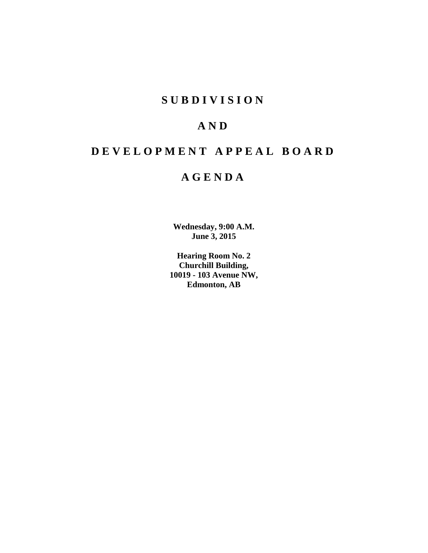# **S U B D I V I S I O N**

# **A N D**

# **D E V E L O P M E N T A P P E A L B O A R D**

# **A G E N D A**

**Wednesday, 9:00 A.M. June 3, 2015**

**Hearing Room No. 2 Churchill Building, 10019 - 103 Avenue NW, Edmonton, AB**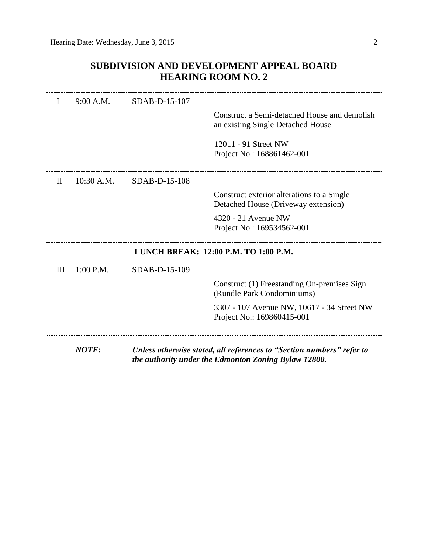# **SUBDIVISION AND DEVELOPMENT APPEAL BOARD HEARING ROOM NO. 2**

| I        | 9:00 A.M.    | SDAB-D-15-107 |                                                                                                                               |
|----------|--------------|---------------|-------------------------------------------------------------------------------------------------------------------------------|
|          |              |               | Construct a Semi-detached House and demolish<br>an existing Single Detached House                                             |
|          |              |               | 12011 - 91 Street NW<br>Project No.: 168861462-001                                                                            |
| $\rm II$ | $10:30$ A.M. | SDAB-D-15-108 |                                                                                                                               |
|          |              |               | Construct exterior alterations to a Single<br>Detached House (Driveway extension)                                             |
|          |              |               | 4320 - 21 Avenue NW<br>Project No.: 169534562-001                                                                             |
|          |              |               | LUNCH BREAK: 12:00 P.M. TO 1:00 P.M.                                                                                          |
| Ш        | $1:00$ P.M.  | SDAB-D-15-109 |                                                                                                                               |
|          |              |               | Construct (1) Freestanding On-premises Sign<br>(Rundle Park Condominiums)                                                     |
|          |              |               | 3307 - 107 Avenue NW, 10617 - 34 Street NW<br>Project No.: 169860415-001                                                      |
|          | <b>NOTE:</b> |               | Unless otherwise stated, all references to "Section numbers" refer to<br>the authority under the Edmonton Zoning Bylaw 12800. |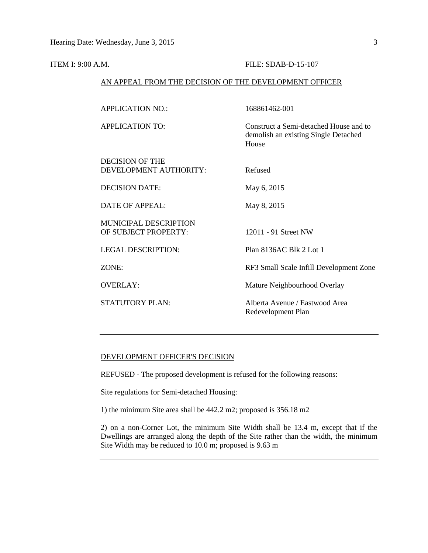### **ITEM I: 9:00 A.M. FILE: SDAB-D-15-107**

## AN APPEAL FROM THE DECISION OF THE DEVELOPMENT OFFICER

| <b>APPLICATION NO.:</b>                       | 168861462-001                                                                           |
|-----------------------------------------------|-----------------------------------------------------------------------------------------|
| <b>APPLICATION TO:</b>                        | Construct a Semi-detached House and to<br>demolish an existing Single Detached<br>House |
| DECISION OF THE<br>DEVELOPMENT AUTHORITY:     | Refused                                                                                 |
| <b>DECISION DATE:</b>                         | May 6, 2015                                                                             |
| <b>DATE OF APPEAL:</b>                        | May 8, 2015                                                                             |
| MUNICIPAL DESCRIPTION<br>OF SUBJECT PROPERTY: | 12011 - 91 Street NW                                                                    |
| <b>LEGAL DESCRIPTION:</b>                     | Plan 8136AC Blk 2 Lot 1                                                                 |
| ZONE:                                         | RF3 Small Scale Infill Development Zone                                                 |
| <b>OVERLAY:</b>                               | Mature Neighbourhood Overlay                                                            |
| <b>STATUTORY PLAN:</b>                        | Alberta Avenue / Eastwood Area<br>Redevelopment Plan                                    |
|                                               |                                                                                         |

# DEVELOPMENT OFFICER'S DECISION

REFUSED - The proposed development is refused for the following reasons:

Site regulations for Semi-detached Housing:

1) the minimum Site area shall be 442.2 m2; proposed is 356.18 m2

2) on a non-Corner Lot, the minimum Site Width shall be 13.4 m, except that if the Dwellings are arranged along the depth of the Site rather than the width, the minimum Site Width may be reduced to 10.0 m; proposed is 9.63 m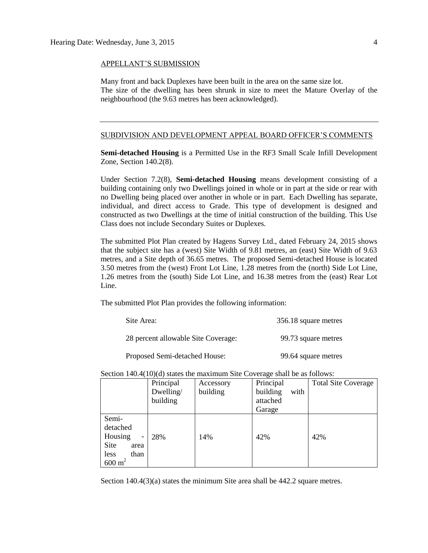#### APPELLANT'S SUBMISSION

Many front and back Duplexes have been built in the area on the same size lot. The size of the dwelling has been shrunk in size to meet the Mature Overlay of the neighbourhood (the 9.63 metres has been acknowledged).

#### SUBDIVISION AND DEVELOPMENT APPEAL BOARD OFFICER'S COMMENTS

**Semi-detached Housing** is a Permitted Use in the RF3 Small Scale Infill Development Zone, Section 140.2(8).

Under Section 7.2(8), **Semi-detached Housing** means development consisting of a building containing only two Dwellings joined in whole or in part at the side or rear with no Dwelling being placed over another in whole or in part. Each Dwelling has separate, individual, and direct access to Grade. This type of development is designed and constructed as two Dwellings at the time of initial construction of the building. This Use Class does not include Secondary Suites or Duplexes.

The submitted Plot Plan created by Hagens Survey Ltd., dated February 24, 2015 shows that the subject site has a (west) Site Width of 9.81 metres, an (east) Site Width of 9.63 metres, and a Site depth of 36.65 metres. The proposed Semi-detached House is located 3.50 metres from the (west) Front Lot Line, 1.28 metres from the (north) Side Lot Line, 1.26 metres from the (south) Side Lot Line, and 16.38 metres from the (east) Rear Lot Line.

The submitted Plot Plan provides the following information:

| Site Area:                          | 356.18 square metres |
|-------------------------------------|----------------------|
| 28 percent allowable Site Coverage: | 99.73 square metres  |
| Proposed Semi-detached House:       | 99.64 square metres  |

Section 140.4(10)(d) states the maximum Site Coverage shall be as follows:

|                                         | Principal | Accessory | Principal        | <b>Total Site Coverage</b> |
|-----------------------------------------|-----------|-----------|------------------|----------------------------|
|                                         | Dwelling/ | building  | building<br>with |                            |
|                                         | building  |           | attached         |                            |
|                                         |           |           | Garage           |                            |
| Semi-                                   |           |           |                  |                            |
| detached                                |           |           |                  |                            |
| Housing<br>$\qquad \qquad \blacksquare$ | 28%       | 14%       | 42%              | 42%                        |
| Site<br>area                            |           |           |                  |                            |
| less<br>than                            |           |           |                  |                            |
| $600 \text{ m}^2$                       |           |           |                  |                            |

Section 140.4(3)(a) states the minimum Site area shall be 442.2 square metres.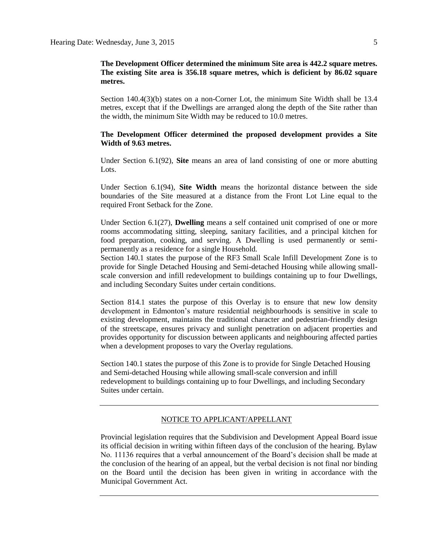# **The Development Officer determined the minimum Site area is 442.2 square metres. The existing Site area is 356.18 square metres, which is deficient by 86.02 square metres.**

Section 140.4(3)(b) states on a non-Corner Lot, the minimum Site Width shall be 13.4 metres, except that if the Dwellings are arranged along the depth of the Site rather than the width, the minimum Site Width may be reduced to 10.0 metres.

# **The Development Officer determined the proposed development provides a Site Width of 9.63 metres.**

Under Section 6.1(92), **Site** means an area of land consisting of one or more abutting Lots.

Under Section 6.1(94), **Site Width** means the horizontal distance between the side boundaries of the Site measured at a distance from the Front Lot Line equal to the required Front Setback for the Zone.

Under Section 6.1(27), **Dwelling** means a self contained unit comprised of one or more rooms accommodating sitting, sleeping, sanitary facilities, and a principal kitchen for food preparation, cooking, and serving. A Dwelling is used permanently or semipermanently as a residence for a single Household.

Section 140.1 states the purpose of the RF3 Small Scale Infill Development Zone is to provide for Single Detached Housing and Semi-detached Housing while allowing smallscale conversion and infill redevelopment to buildings containing up to four Dwellings, and including Secondary Suites under certain conditions.

Section 814.1 states the purpose of this Overlay is to ensure that new low density development in Edmonton's mature residential neighbourhoods is sensitive in scale to existing development, maintains the traditional character and pedestrian-friendly design of the streetscape, ensures privacy and sunlight penetration on adjacent properties and provides opportunity for discussion between applicants and neighbouring affected parties when a development proposes to vary the Overlay regulations.

Section 140.1 states the purpose of this Zone is to provide for Single Detached Housing and Semi-detached Housing while allowing small-scale conversion and infill redevelopment to buildings containing up to four Dwellings, and including Secondary Suites under certain.

# NOTICE TO APPLICANT/APPELLANT

Provincial legislation requires that the Subdivision and Development Appeal Board issue its official decision in writing within fifteen days of the conclusion of the hearing. Bylaw No. 11136 requires that a verbal announcement of the Board's decision shall be made at the conclusion of the hearing of an appeal, but the verbal decision is not final nor binding on the Board until the decision has been given in writing in accordance with the Municipal Government Act.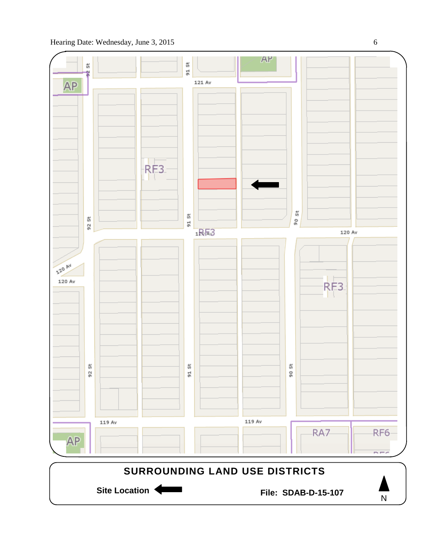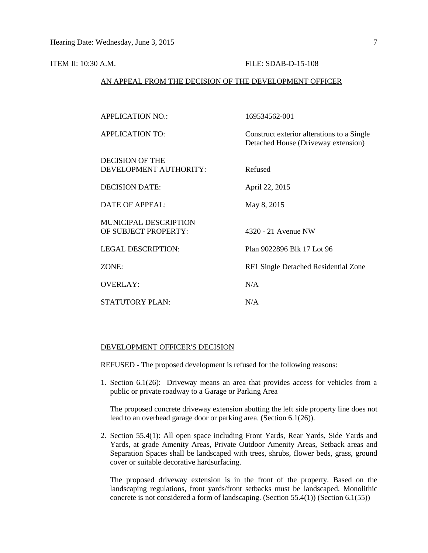#### ITEM II: 10:30 A.M. FILE: SDAB-D-15-108

## AN APPEAL FROM THE DECISION OF THE DEVELOPMENT OFFICER

| <b>APPLICATION NO.:</b>                              | 169534562-001                                                                     |
|------------------------------------------------------|-----------------------------------------------------------------------------------|
| <b>APPLICATION TO:</b>                               | Construct exterior alterations to a Single<br>Detached House (Driveway extension) |
| <b>DECISION OF THE</b><br>DEVELOPMENT AUTHORITY:     | Refused                                                                           |
| <b>DECISION DATE:</b>                                | April 22, 2015                                                                    |
| <b>DATE OF APPEAL:</b>                               | May 8, 2015                                                                       |
| <b>MUNICIPAL DESCRIPTION</b><br>OF SUBJECT PROPERTY: | 4320 - 21 Avenue NW                                                               |
| <b>LEGAL DESCRIPTION:</b>                            | Plan 9022896 Blk 17 Lot 96                                                        |
| ZONE:                                                | RF1 Single Detached Residential Zone                                              |
| <b>OVERLAY:</b>                                      | N/A                                                                               |
| <b>STATUTORY PLAN:</b>                               | N/A                                                                               |

## DEVELOPMENT OFFICER'S DECISION

REFUSED - The proposed development is refused for the following reasons:

1. Section 6.1(26): Driveway means an area that provides access for vehicles from a public or private roadway to a Garage or Parking Area

The proposed concrete driveway extension abutting the left side property line does not lead to an overhead garage door or parking area. (Section 6.1(26)).

2. Section 55.4(1): All open space including Front Yards, Rear Yards, Side Yards and Yards, at grade Amenity Areas, Private Outdoor Amenity Areas, Setback areas and Separation Spaces shall be landscaped with trees, shrubs, flower beds, grass, ground cover or suitable decorative hardsurfacing.

The proposed driveway extension is in the front of the property. Based on the landscaping regulations, front yards/front setbacks must be landscaped. Monolithic concrete is not considered a form of landscaping. (Section 55.4(1)) (Section 6.1(55))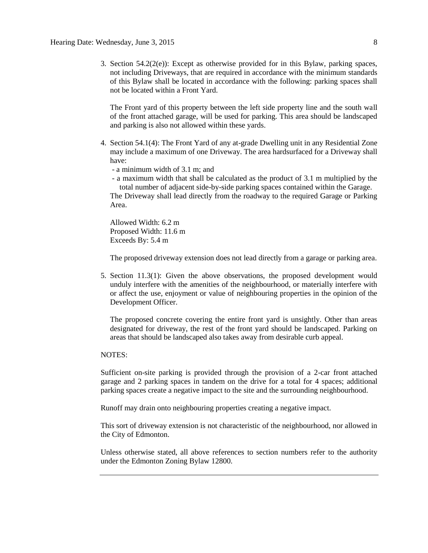3. Section  $54.2(2(e))$ : Except as otherwise provided for in this Bylaw, parking spaces, not including Driveways, that are required in accordance with the minimum standards of this Bylaw shall be located in accordance with the following: parking spaces shall not be located within a Front Yard.

The Front yard of this property between the left side property line and the south wall of the front attached garage, will be used for parking. This area should be landscaped and parking is also not allowed within these yards.

- 4. Section 54.1(4): The Front Yard of any at-grade Dwelling unit in any Residential Zone may include a maximum of one Driveway. The area hardsurfaced for a Driveway shall have:
	- a minimum width of 3.1 m; and
	- a maximum width that shall be calculated as the product of 3.1 m multiplied by the total number of adjacent side-by-side parking spaces contained within the Garage.

The Driveway shall lead directly from the roadway to the required Garage or Parking Area.

Allowed Width: 6.2 m Proposed Width: 11.6 m Exceeds By: 5.4 m

The proposed driveway extension does not lead directly from a garage or parking area.

5. Section 11.3(1): Given the above observations, the proposed development would unduly interfere with the amenities of the neighbourhood, or materially interfere with or affect the use, enjoyment or value of neighbouring properties in the opinion of the Development Officer.

The proposed concrete covering the entire front yard is unsightly. Other than areas designated for driveway, the rest of the front yard should be landscaped. Parking on areas that should be landscaped also takes away from desirable curb appeal.

### NOTES:

Sufficient on-site parking is provided through the provision of a 2-car front attached garage and 2 parking spaces in tandem on the drive for a total for 4 spaces; additional parking spaces create a negative impact to the site and the surrounding neighbourhood.

Runoff may drain onto neighbouring properties creating a negative impact.

This sort of driveway extension is not characteristic of the neighbourhood, nor allowed in the City of Edmonton.

Unless otherwise stated, all above references to section numbers refer to the authority under the Edmonton Zoning Bylaw 12800.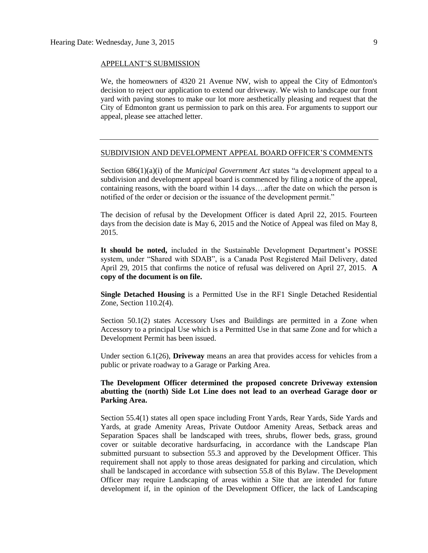#### APPELLANT'S SUBMISSION

We, the homeowners of 4320 21 Avenue NW, wish to appeal the City of Edmonton's decision to reject our application to extend our driveway. We wish to landscape our front yard with paving stones to make our lot more aesthetically pleasing and request that the City of Edmonton grant us permission to park on this area. For arguments to support our appeal, please see attached letter.

### SUBDIVISION AND DEVELOPMENT APPEAL BOARD OFFICER'S COMMENTS

Section 686(1)(a)(i) of the *Municipal Government Act* states "a development appeal to a subdivision and development appeal board is commenced by filing a notice of the appeal, containing reasons, with the board within 14 days….after the date on which the person is notified of the order or decision or the issuance of the development permit."

The decision of refusal by the Development Officer is dated April 22, 2015. Fourteen days from the decision date is May 6, 2015 and the Notice of Appeal was filed on May 8, 2015.

**It should be noted,** included in the Sustainable Development Department's POSSE system, under "Shared with SDAB", is a Canada Post Registered Mail Delivery, dated April 29, 2015 that confirms the notice of refusal was delivered on April 27, 2015. **A copy of the document is on file.**

**Single Detached Housing** is a Permitted Use in the RF1 Single Detached Residential Zone, Section 110.2(4).

Section 50.1(2) states Accessory Uses and Buildings are permitted in a Zone when Accessory to a principal Use which is a Permitted Use in that same Zone and for which a Development Permit has been issued.

Under section 6.1(26), **Driveway** means an area that provides access for vehicles from a public or private roadway to a Garage or Parking Area.

## **The Development Officer determined the proposed concrete Driveway extension abutting the (north) Side Lot Line does not lead to an overhead Garage door or Parking Area.**

Section 55.4(1) states all open space including Front Yards, Rear Yards, Side Yards and Yards, at grade Amenity Areas, Private Outdoor Amenity Areas, Setback areas and Separation Spaces shall be landscaped with trees, shrubs, flower beds, grass, ground cover or suitable decorative hardsurfacing, in accordance with the Landscape Plan submitted pursuant to subsection 55.3 and approved by the Development Officer. This requirement shall not apply to those areas designated for parking and circulation, which shall be landscaped in accordance with subsection 55.8 of this Bylaw. The Development Officer may require Landscaping of areas within a Site that are intended for future development if, in the opinion of the Development Officer, the lack of Landscaping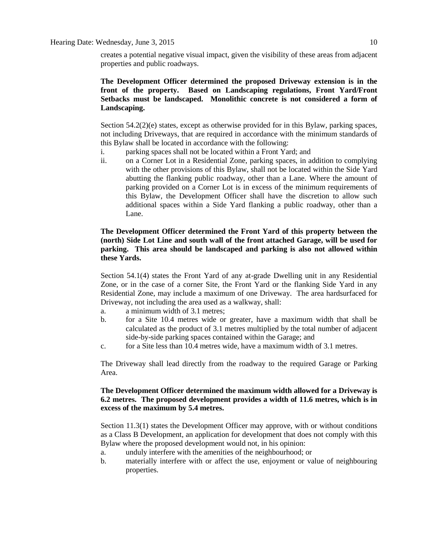creates a potential negative visual impact, given the visibility of these areas from adjacent properties and public roadways.

# **The Development Officer determined the proposed Driveway extension is in the front of the property. Based on Landscaping regulations, Front Yard/Front Setbacks must be landscaped. Monolithic concrete is not considered a form of Landscaping.**

Section 54.2(2)(e) states, except as otherwise provided for in this Bylaw, parking spaces, not including Driveways, that are required in accordance with the minimum standards of this Bylaw shall be located in accordance with the following:

- i. parking spaces shall not be located within a Front Yard; and
- ii. on a Corner Lot in a Residential Zone, parking spaces, in addition to complying with the other provisions of this Bylaw, shall not be located within the Side Yard abutting the flanking public roadway, other than a Lane. Where the amount of parking provided on a Corner Lot is in excess of the minimum requirements of this Bylaw, the Development Officer shall have the discretion to allow such additional spaces within a Side Yard flanking a public roadway, other than a Lane.

# **The Development Officer determined the Front Yard of this property between the (north) Side Lot Line and south wall of the front attached Garage, will be used for parking. This area should be landscaped and parking is also not allowed within these Yards.**

Section 54.1(4) states the Front Yard of any at-grade Dwelling unit in any Residential Zone, or in the case of a corner Site, the Front Yard or the flanking Side Yard in any Residential Zone, may include a maximum of one Driveway. The area hardsurfaced for Driveway, not including the area used as a walkway, shall:

- a. a minimum width of 3.1 metres;
- b. for a Site 10.4 metres wide or greater, have a maximum width that shall be calculated as the product of 3.1 metres multiplied by the total number of adjacent side-by-side parking spaces contained within the Garage; and
- c. for a Site less than 10.4 metres wide, have a maximum width of 3.1 metres.

The Driveway shall lead directly from the roadway to the required Garage or Parking Area.

# **The Development Officer determined the maximum width allowed for a Driveway is 6.2 metres. The proposed development provides a width of 11.6 metres, which is in excess of the maximum by 5.4 metres.**

Section 11.3(1) states the Development Officer may approve, with or without conditions as a Class B Development, an application for development that does not comply with this Bylaw where the proposed development would not, in his opinion:

- a. unduly interfere with the amenities of the neighbourhood; or
- b. materially interfere with or affect the use, enjoyment or value of neighbouring properties.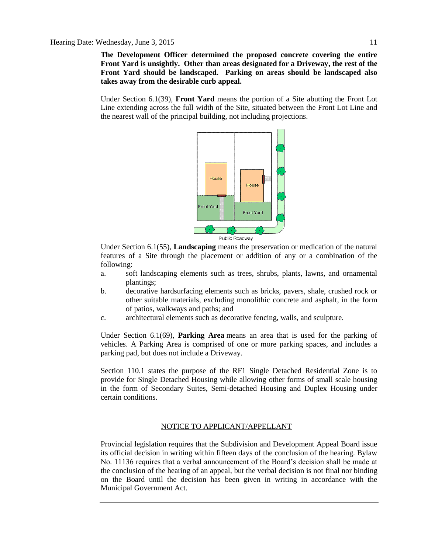**The Development Officer determined the proposed concrete covering the entire Front Yard is unsightly. Other than areas designated for a Driveway, the rest of the Front Yard should be landscaped. Parking on areas should be landscaped also takes away from the desirable curb appeal.** 

Under Section 6.1(39), **Front Yard** means the portion of a Site abutting the Front Lot Line extending across the full width of the Site, situated between the Front Lot Line and the nearest wall of the principal building, not including projections.



Under Section 6.1(55), **Landscaping** means the preservation or medication of the natural features of a Site through the placement or addition of any or a combination of the following:

- a. soft landscaping elements such as trees, shrubs, plants, lawns, and ornamental plantings;
- b. decorative hardsurfacing elements such as bricks, pavers, shale, crushed rock or other suitable materials, excluding monolithic concrete and asphalt, in the form of patios, walkways and paths; and
- c. architectural elements such as decorative fencing, walls, and sculpture.

Under Section 6.1(69), **Parking Area** means an area that is used for the parking of vehicles. A Parking Area is comprised of one or more parking spaces, and includes a parking pad, but does not include a Driveway.

Section 110.1 states the purpose of the RF1 Single Detached Residential Zone is to provide for Single Detached Housing while allowing other forms of small scale housing in the form of Secondary Suites, Semi-detached Housing and Duplex Housing under certain conditions.

# NOTICE TO APPLICANT/APPELLANT

Provincial legislation requires that the Subdivision and Development Appeal Board issue its official decision in writing within fifteen days of the conclusion of the hearing. Bylaw No. 11136 requires that a verbal announcement of the Board's decision shall be made at the conclusion of the hearing of an appeal, but the verbal decision is not final nor binding on the Board until the decision has been given in writing in accordance with the Municipal Government Act.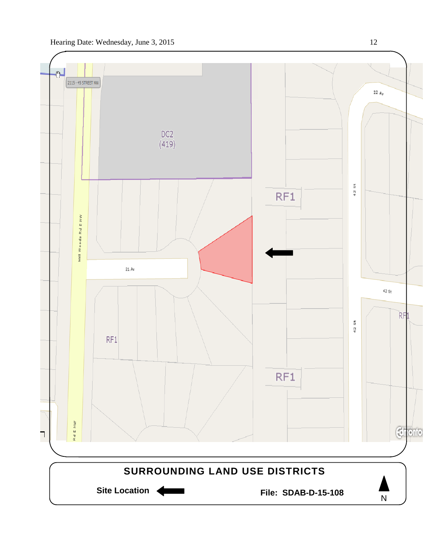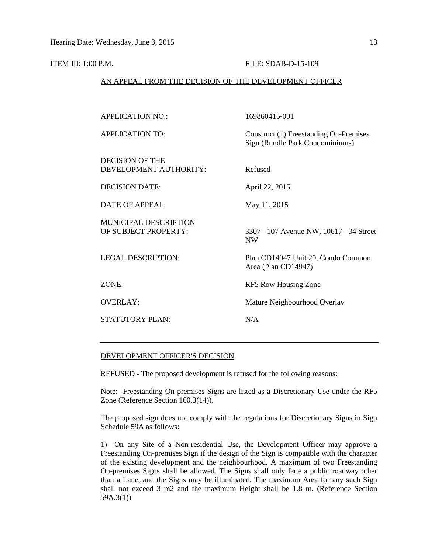#### **ITEM III: 1:00 P.M. FILE: SDAB-D-15-109**

### AN APPEAL FROM THE DECISION OF THE DEVELOPMENT OFFICER

| <b>APPLICATION NO.:</b>                          | 169860415-001                                                             |
|--------------------------------------------------|---------------------------------------------------------------------------|
| <b>APPLICATION TO:</b>                           | Construct (1) Freestanding On-Premises<br>Sign (Rundle Park Condominiums) |
| <b>DECISION OF THE</b><br>DEVELOPMENT AUTHORITY: | Refused                                                                   |
| <b>DECISION DATE:</b>                            | April 22, 2015                                                            |
| <b>DATE OF APPEAL:</b>                           | May 11, 2015                                                              |
| MUNICIPAL DESCRIPTION<br>OF SUBJECT PROPERTY:    | 3307 - 107 Avenue NW, 10617 - 34 Street<br><b>NW</b>                      |
| <b>LEGAL DESCRIPTION:</b>                        | Plan CD14947 Unit 20, Condo Common<br>Area (Plan CD14947)                 |
| ZONE:                                            | RF5 Row Housing Zone                                                      |
| <b>OVERLAY:</b>                                  | Mature Neighbourhood Overlay                                              |
| <b>STATUTORY PLAN:</b>                           | N/A                                                                       |
|                                                  |                                                                           |

### DEVELOPMENT OFFICER'S DECISION

REFUSED - The proposed development is refused for the following reasons:

Note: Freestanding On-premises Signs are listed as a Discretionary Use under the RF5 Zone (Reference Section 160.3(14)).

The proposed sign does not comply with the regulations for Discretionary Signs in Sign Schedule 59A as follows:

1) On any Site of a Non-residential Use, the Development Officer may approve a Freestanding On-premises Sign if the design of the Sign is compatible with the character of the existing development and the neighbourhood. A maximum of two Freestanding On-premises Signs shall be allowed. The Signs shall only face a public roadway other than a Lane, and the Signs may be illuminated. The maximum Area for any such Sign shall not exceed 3 m2 and the maximum Height shall be 1.8 m. (Reference Section 59A.3(1))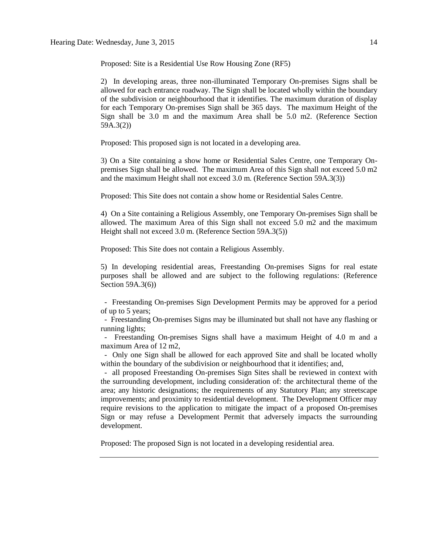Proposed: Site is a Residential Use Row Housing Zone (RF5)

2) In developing areas, three non-illuminated Temporary On-premises Signs shall be allowed for each entrance roadway. The Sign shall be located wholly within the boundary of the subdivision or neighbourhood that it identifies. The maximum duration of display for each Temporary On-premises Sign shall be 365 days. The maximum Height of the Sign shall be 3.0 m and the maximum Area shall be 5.0 m2. (Reference Section 59A.3(2))

Proposed: This proposed sign is not located in a developing area.

3) On a Site containing a show home or Residential Sales Centre, one Temporary Onpremises Sign shall be allowed. The maximum Area of this Sign shall not exceed 5.0 m2 and the maximum Height shall not exceed 3.0 m. (Reference Section 59A.3(3))

Proposed: This Site does not contain a show home or Residential Sales Centre.

4) On a Site containing a Religious Assembly, one Temporary On-premises Sign shall be allowed. The maximum Area of this Sign shall not exceed 5.0 m2 and the maximum Height shall not exceed 3.0 m. (Reference Section 59A.3(5))

Proposed: This Site does not contain a Religious Assembly.

5) In developing residential areas, Freestanding On-premises Signs for real estate purposes shall be allowed and are subject to the following regulations: (Reference Section 59A.3(6))

 - Freestanding On-premises Sign Development Permits may be approved for a period of up to 5 years;

 - Freestanding On-premises Signs may be illuminated but shall not have any flashing or running lights;

 - Freestanding On-premises Signs shall have a maximum Height of 4.0 m and a maximum Area of 12 m2,

 - Only one Sign shall be allowed for each approved Site and shall be located wholly within the boundary of the subdivision or neighbourhood that it identifies; and,

 - all proposed Freestanding On-premises Sign Sites shall be reviewed in context with the surrounding development, including consideration of: the architectural theme of the area; any historic designations; the requirements of any Statutory Plan; any streetscape improvements; and proximity to residential development. The Development Officer may require revisions to the application to mitigate the impact of a proposed On-premises Sign or may refuse a Development Permit that adversely impacts the surrounding development.

Proposed: The proposed Sign is not located in a developing residential area.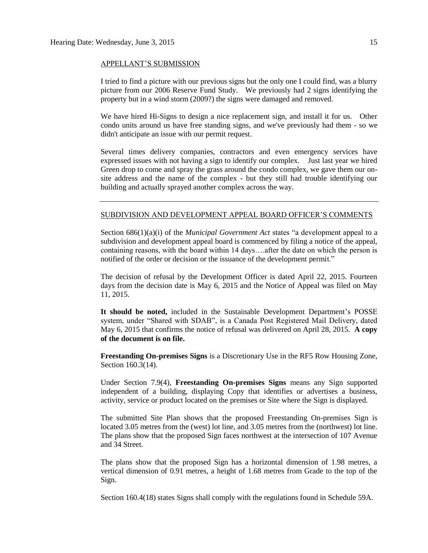#### APPELLANT'S SUBMISSION

I tried to find a picture with our previous signs but the only one I could find, was a blurry picture from our 2006 Reserve Fund Study. We previously had 2 signs identifying the property but in a wind storm (2009?) the signs were damaged and removed.

We have hired Hi-Signs to design a nice replacement sign, and install it for us. Other condo units around us have free standing signs, and we've previously had them - so we didn't anticipate an issue with our permit request.

Several times delivery companies, contractors and even emergency services have expressed issues with not having a sign to identify our complex. Just last year we hired Green drop to come and spray the grass around the condo complex, we gave them our onsite address and the name of the complex - but they still had trouble identifying our building and actually sprayed another complex across the way.

# SUBDIVISION AND DEVELOPMENT APPEAL BOARD OFFICER'S COMMENTS

Section 686(1)(a)(i) of the *Municipal Government Act* states "a development appeal to a subdivision and development appeal board is commenced by filing a notice of the appeal, containing reasons, with the board within 14 days….after the date on which the person is notified of the order or decision or the issuance of the development permit."

The decision of refusal by the Development Officer is dated April 22, 2015. Fourteen days from the decision date is May 6, 2015 and the Notice of Appeal was filed on May 11, 2015.

**It should be noted,** included in the Sustainable Development Department's POSSE system, under "Shared with SDAB", is a Canada Post Registered Mail Delivery, dated May 6, 2015 that confirms the notice of refusal was delivered on April 28, 2015. **A copy of the document is on file.**

**Freestanding On-premises Signs** is a Discretionary Use in the RF5 Row Housing Zone, Section 160.3(14).

Under Section 7.9(4), **Freestanding On-premises Signs** means any Sign supported independent of a building, displaying Copy that identifies or advertises a business, activity, service or product located on the premises or Site where the Sign is displayed.

The submitted Site Plan shows that the proposed Freestanding On-premises Sign is located 3.05 metres from the (west) lot line, and 3.05 metres from the (northwest) lot line. The plans show that the proposed Sign faces northwest at the intersection of 107 Avenue and 34 Street.

The plans show that the proposed Sign has a horizontal dimension of 1.98 metres, a vertical dimension of 0.91 metres, a height of 1.68 metres from Grade to the top of the Sign.

Section 160.4(18) states Signs shall comply with the regulations found in [Schedule 59A.](http://webdocs.edmonton.ca/InfraPlan/zoningbylaw/ZoningBylaw/Schedule/Schedule_59A.htm)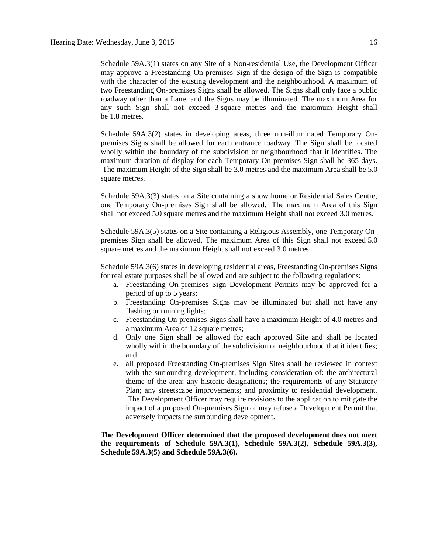Schedule 59A.3(1) states on any Site of a Non-residential Use, the Development Officer may approve a Freestanding On-premises Sign if the design of the Sign is compatible with the character of the existing development and the neighbourhood. A maximum of two Freestanding On-premises Signs shall be allowed. The Signs shall only face a public roadway other than a Lane, and the Signs may be illuminated. The maximum Area for any such Sign shall not exceed 3 square metres and the maximum Height shall be [1.8](javascript:void(0);) metres.

Schedule 59A.3(2) states in developing areas, three non-illuminated Temporary Onpremises Signs shall be allowed for each entrance roadway. The Sign shall be located wholly within the boundary of the subdivision or neighbourhood that it identifies. The maximum duration of display for each Temporary On-premises Sign shall be 365 days. The maximum Height of the Sign shall be [3.0 me](http://webdocs.edmonton.ca/InfraPlan/zoningbylaw/ZoningBylaw/Measurements/im3.htm)tres and the maximum Area shall be [5.0](javascript:void(0);)  [square](javascript:void(0);) metres.

Schedule 59A.3(3) states on a Site containing a show home or Residential Sales Centre, one Temporary On-premises Sign shall be allowed. The maximum Area of this Sign shall not exceed 5.0 square metres and the maximum Height shall not exceed [3.0 me](javascript:void(0);)tres.

Schedule 59A.3(5) states on a Site containing a Religious Assembly, one Temporary Onpremises Sign shall be allowed. The maximum Area of this Sign shall not exceed [5.0](javascript:void(0);) square metres and the maximum Height shall not exceed [3.0 me](javascript:void(0);)tres.

Schedule 59A.3(6) states in developing residential areas, Freestanding On-premises Signs for real estate purposes shall be allowed and are subject to the following regulations:

- a. Freestanding On-premises Sign Development Permits may be approved for a period of up to 5 years;
- b. Freestanding On-premises Signs may be illuminated but shall not have any flashing or running lights;
- c. Freestanding On-premises Signs shall have a maximum Height of 4.0 metres and a maximum Area of 12 square metres;
- d. Only one Sign shall be allowed for each approved Site and shall be located wholly within the boundary of the subdivision or neighbourhood that it identifies; and
- e. all proposed Freestanding On-premises Sign Sites shall be reviewed in context with the surrounding development, including consideration of: the architectural theme of the area; any historic designations; the requirements of any Statutory Plan; any streetscape improvements; and proximity to residential development. The Development Officer may require revisions to the application to mitigate the impact of a proposed On-premises Sign or may refuse a Development Permit that adversely impacts the surrounding development.

**The Development Officer determined that the proposed development does not meet the requirements of Schedule 59A.3(1), Schedule 59A.3(2), Schedule 59A.3(3), Schedule 59A.3(5) and Schedule 59A.3(6).**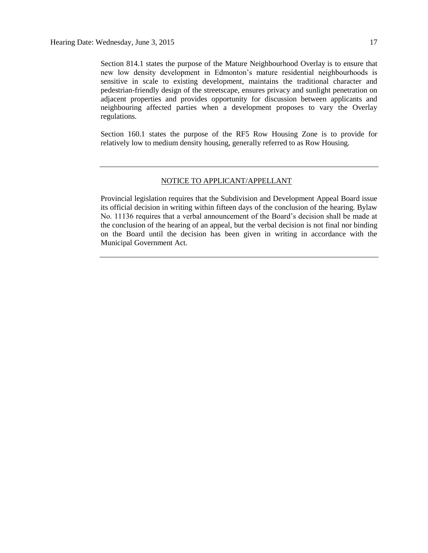Section 814.1 states the purpose of the Mature Neighbourhood Overlay is to ensure that new low density development in Edmonton's mature residential neighbourhoods is sensitive in scale to existing development, maintains the traditional character and pedestrian-friendly design of the streetscape, ensures privacy and sunlight penetration on adjacent properties and provides opportunity for discussion between applicants and neighbouring affected parties when a development proposes to vary the Overlay regulations.

Section 160.1 states the purpose of the RF5 Row Housing Zone is to provide for relatively low to medium density housing, generally referred to as Row Housing.

## NOTICE TO APPLICANT/APPELLANT

Provincial legislation requires that the Subdivision and Development Appeal Board issue its official decision in writing within fifteen days of the conclusion of the hearing. Bylaw No. 11136 requires that a verbal announcement of the Board's decision shall be made at the conclusion of the hearing of an appeal, but the verbal decision is not final nor binding on the Board until the decision has been given in writing in accordance with the Municipal Government Act.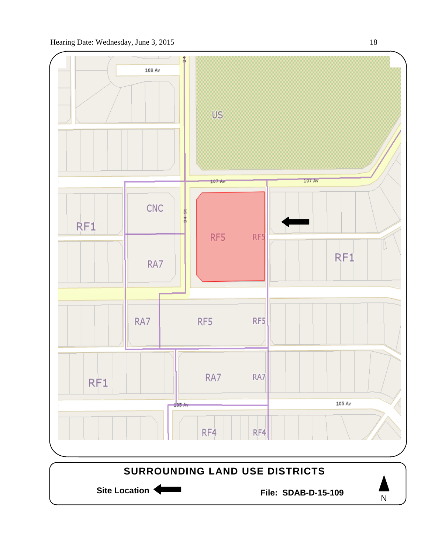